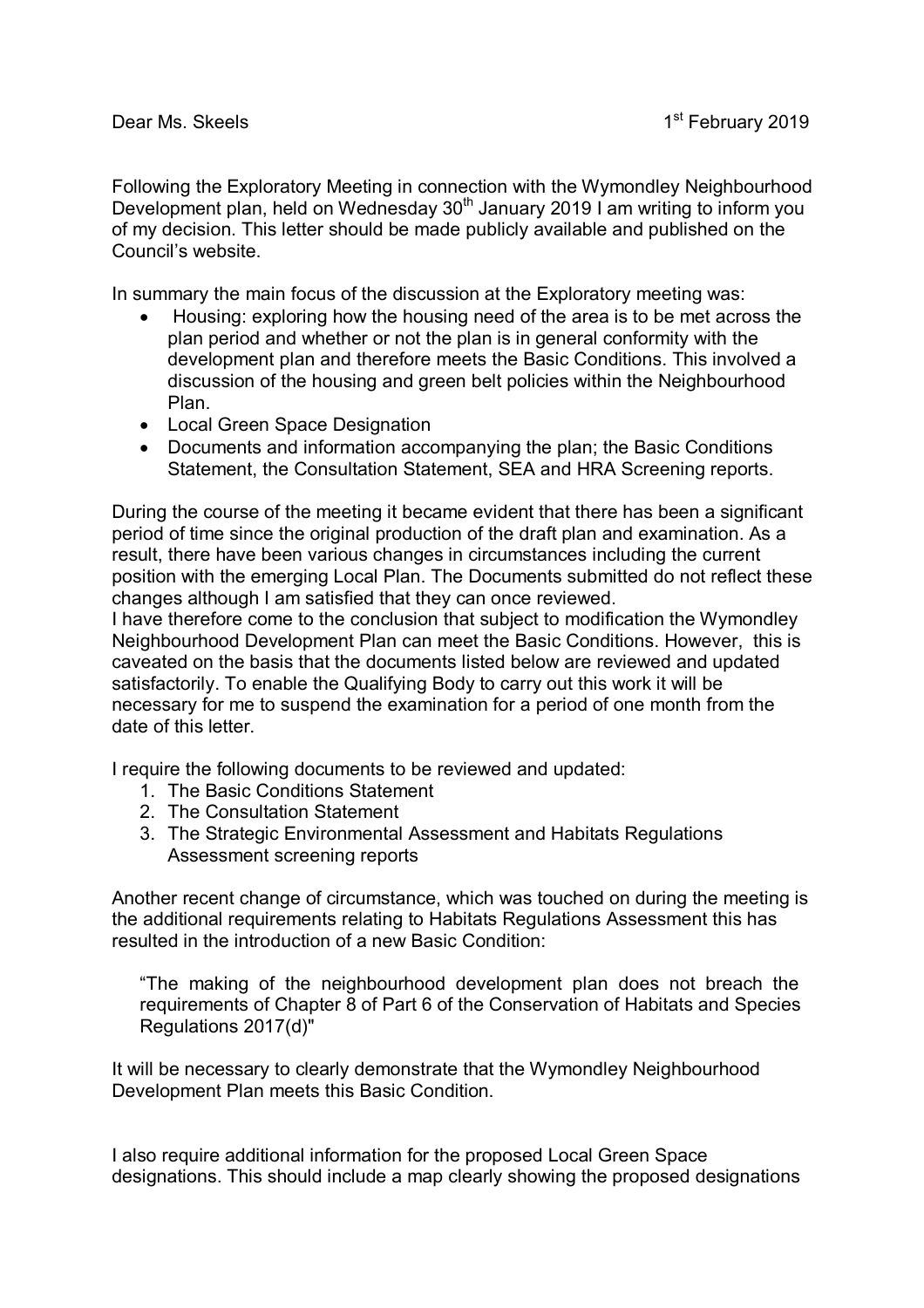Following the Exploratory Meeting in connection with the Wymondley Neighbourhood Development plan, held on Wednesday 30<sup>th</sup> January 2019 I am writing to inform you of my decision. This letter should be made publicly available and published on the Council's website.

In summary the main focus of the discussion at the Exploratory meeting was:

- Housing: exploring how the housing need of the area is to be met across the plan period and whether or not the plan is in general conformity with the development plan and therefore meets the Basic Conditions. This involved a discussion of the housing and green belt policies within the Neighbourhood Plan.
- Local Green Space Designation
- Documents and information accompanying the plan; the Basic Conditions Statement, the Consultation Statement, SEA and HRA Screening reports.

During the course of the meeting it became evident that there has been a significant period of time since the original production of the draft plan and examination. As a result, there have been various changes in circumstances including the current position with the emerging Local Plan. The Documents submitted do not reflect these changes although I am satisfied that they can once reviewed.

I have therefore come to the conclusion that subject to modification the Wymondley Neighbourhood Development Plan can meet the Basic Conditions. However, this is caveated on the basis that the documents listed below are reviewed and updated satisfactorily. To enable the Qualifying Body to carry out this work it will be necessary for me to suspend the examination for a period of one month from the date of this letter.

I require the following documents to be reviewed and updated:

- 1. The Basic Conditions Statement
- 2. The Consultation Statement
- 3. The Strategic Environmental Assessment and Habitats Regulations Assessment screening reports

Another recent change of circumstance, which was touched on during the meeting is the additional requirements relating to Habitats Regulations Assessment this has resulted in the introduction of a new Basic Condition:

"The making of the neighbourhood development plan does not breach the requirements of Chapter 8 of Part 6 of the Conservation of Habitats and Species Regulations 2017(d)"

It will be necessary to clearly demonstrate that the Wymondley Neighbourhood Development Plan meets this Basic Condition.

I also require additional information for the proposed Local Green Space designations. This should include a map clearly showing the proposed designations